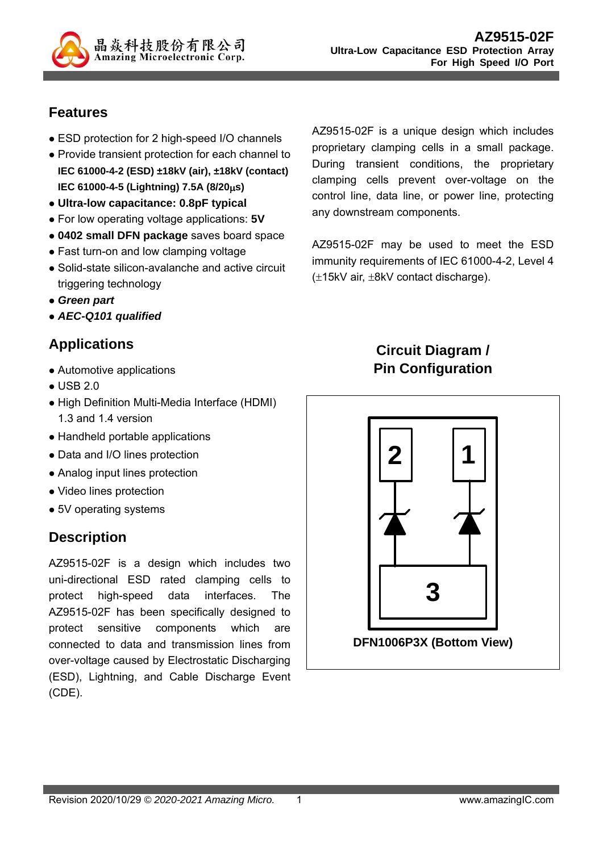

# **Features**

- ESD protection for 2 high-speed I/O channels
- Provide transient protection for each channel to **IEC 61000-4-2 (ESD) ±18kV (air), ±18kV (contact) IEC 61000-4-5 (Lightning) 7.5A (8/20s)**
- **Ultra-low capacitance: 0.8pF typical**
- For low operating voltage applications: **5V**
- **0402 small DFN package** saves board space
- Fast turn-on and low clamping voltage
- Solid-state silicon-avalanche and active circuit triggering technology
- *Green part*
- *AEC-Q101 qualified*

## **Applications**

- Automotive applications
- USB 2.0
- High Definition Multi-Media Interface (HDMI) 1.3 and 1.4 version
- Handheld portable applications
- Data and I/O lines protection
- Analog input lines protection
- Video lines protection
- 5V operating systems

## **Description**

AZ9515-02F is a design which includes two uni-directional ESD rated clamping cells to protect high-speed data interfaces. The AZ9515-02F has been specifically designed to protect sensitive components which are connected to data and transmission lines from over-voltage caused by Electrostatic Discharging (ESD), Lightning, and Cable Discharge Event (CDE).

AZ9515-02F is a unique design which includes proprietary clamping cells in a small package. During transient conditions, the proprietary clamping cells prevent over-voltage on the control line, data line, or power line, protecting any downstream components.

AZ9515-02F may be used to meet the ESD immunity requirements of IEC 61000-4-2, Level 4  $(\pm 15kV \text{ air}, \pm 8kV \text{ contact discharge}).$ 

# **Circuit Diagram / Pin Configuration**

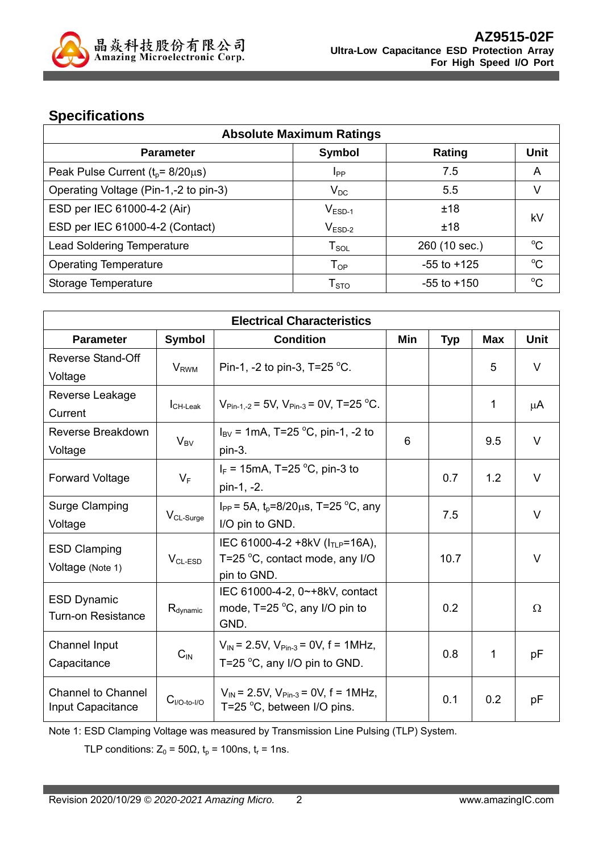

# **Specifications**

| <b>Absolute Maximum Ratings</b>            |                        |                 |             |  |
|--------------------------------------------|------------------------|-----------------|-------------|--|
| <b>Parameter</b>                           | <b>Symbol</b>          | Rating          | <b>Unit</b> |  |
| Peak Pulse Current ( $t_p$ = 8/20 $\mu$ s) | <b>I</b> <sub>PP</sub> | 7.5             | A           |  |
| Operating Voltage (Pin-1,-2 to pin-3)      | $V_{DC}$               | 5.5             | V           |  |
| ESD per IEC 61000-4-2 (Air)                | $V_{ESD-1}$            | ±18             | kV          |  |
| ESD per IEC 61000-4-2 (Contact)            | $V_{ESD-2}$            | ±18             |             |  |
| <b>Lead Soldering Temperature</b>          | ${\sf T}_{\sf SOL}$    | 260 (10 sec.)   | $\rm ^{o}C$ |  |
| <b>Operating Temperature</b>               | $T_{OP}$               | $-55$ to $+125$ | $\rm ^{o}C$ |  |
| Storage Temperature                        | ${\sf T}_{\sf STO}$    | $-55$ to $+150$ | $^{\circ}C$ |  |

| <b>Electrical Characteristics</b>                                       |                         |                                                                          |     |            |            |        |
|-------------------------------------------------------------------------|-------------------------|--------------------------------------------------------------------------|-----|------------|------------|--------|
| <b>Parameter</b>                                                        | <b>Symbol</b>           | <b>Condition</b>                                                         | Min | <b>Typ</b> | <b>Max</b> | Unit   |
| <b>Reverse Stand-Off</b>                                                |                         | Pin-1, -2 to pin-3, T=25 $^{\circ}$ C.                                   |     |            | 5          | $\vee$ |
| Voltage                                                                 | <b>V</b> <sub>RWM</sub> |                                                                          |     |            |            |        |
| Reverse Leakage                                                         |                         | $V_{\text{Pin-1-2}}$ = 5V, $V_{\text{Pin-3}}$ = 0V, T=25 °C.             |     |            | 1          |        |
| Current                                                                 | <b>I</b> CH-Leak        |                                                                          |     |            |            | μA     |
| Reverse Breakdown                                                       | $V_{BV}$                | $I_{\text{BV}}$ = 1mA, T=25 °C, pin-1, -2 to                             | 6   |            | 9.5        | V      |
| Voltage                                                                 |                         | pin-3.                                                                   |     |            |            |        |
| <b>Forward Voltage</b>                                                  | $V_F$                   | $I_F$ = 15mA, T=25 °C, pin-3 to                                          |     | 0.7        | 1.2        | V      |
|                                                                         |                         | pin-1, -2.                                                               |     |            |            |        |
| Surge Clamping                                                          |                         | $I_{PP}$ = 5A, t <sub>p</sub> =8/20µs, T=25 °C, any                      |     | 7.5        |            | $\vee$ |
| Voltage                                                                 | V <sub>CL-Surge</sub>   | I/O pin to GND.                                                          |     |            |            |        |
| <b>ESD Clamping</b>                                                     |                         | IEC 61000-4-2 +8kV ( $I_{TLP}$ =16A),                                    |     |            |            |        |
| Voltage (Note 1)                                                        | $V_{CL-ESD}$            | T=25 $\mathrm{^{\circ}C}$ , contact mode, any I/O                        |     | 10.7       |            | $\vee$ |
|                                                                         |                         | pin to GND.                                                              |     |            |            |        |
| <b>ESD Dynamic</b><br>$R_{\text{dynamic}}$<br><b>Turn-on Resistance</b> |                         | IEC 61000-4-2, 0~+8kV, contact<br>mode, $T=25^{\circ}C$ , any I/O pin to |     | 0.2        |            | Ω      |
|                                                                         |                         | GND.                                                                     |     |            |            |        |
| Channel Input                                                           |                         | $V_{IN}$ = 2.5V, $V_{Pin-3}$ = 0V, f = 1MHz,                             |     |            |            |        |
| Capacitance                                                             | $C_{IN}$                | T=25 $\mathrm{^{\circ}C}$ , any I/O pin to GND.                          |     | 0.8        | 1          | рF     |
|                                                                         |                         |                                                                          |     |            |            |        |
| <b>Channel to Channel</b>                                               | $C_{I/O-to-I/O}$        | $V_{IN}$ = 2.5V, $V_{Pin-3}$ = 0V, f = 1MHz,                             |     | 0.1        | 0.2        | pF     |
| Input Capacitance                                                       |                         | T=25 $\mathrm{^{\circ}C}$ , between I/O pins.                            |     |            |            |        |

Note 1: ESD Clamping Voltage was measured by Transmission Line Pulsing (TLP) System.

TLP conditions:  $Z_0 = 50\Omega$ ,  $t_p = 100$ ns,  $t_r = 1$ ns.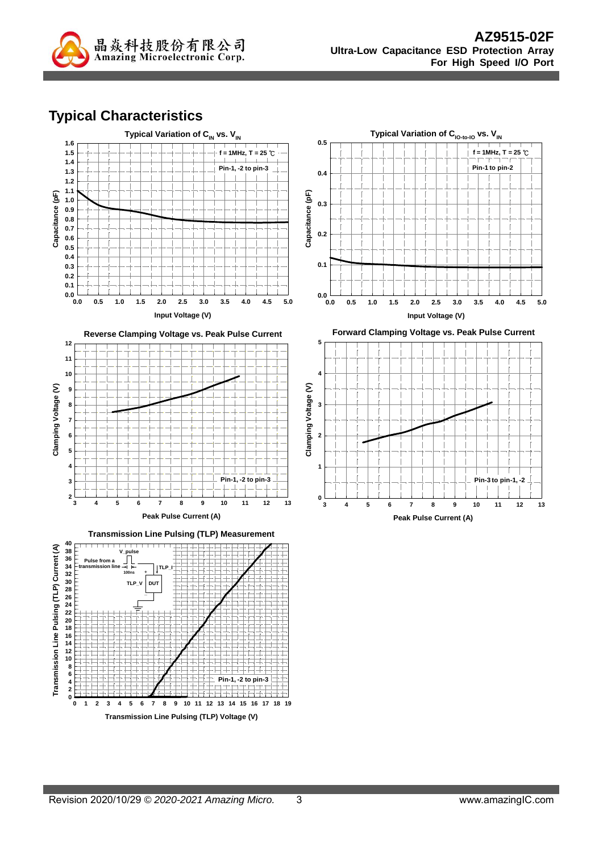

# **Typical Characteristics**

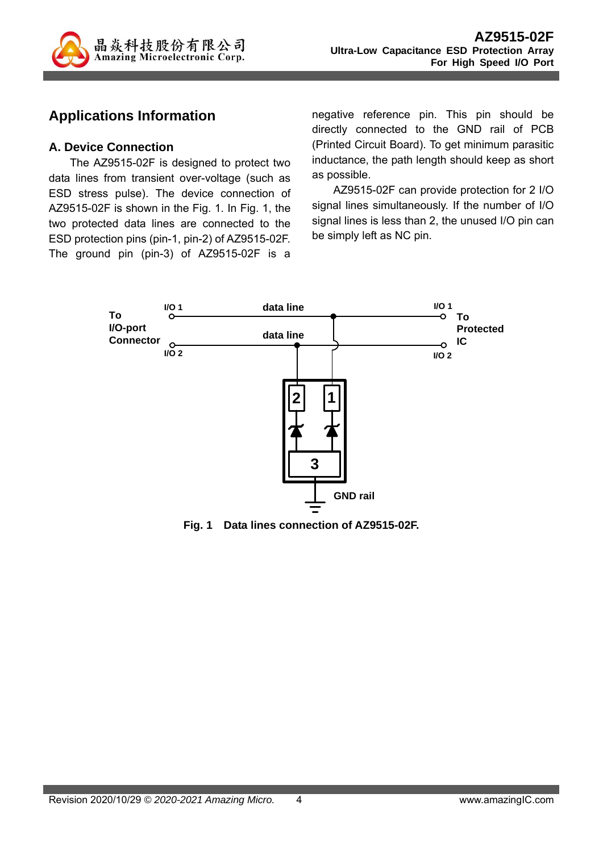

## **Applications Information**

#### **A. Device Connection**

The AZ9515-02F is designed to protect two data lines from transient over-voltage (such as ESD stress pulse). The device connection of AZ9515-02F is shown in the Fig. 1. In Fig. 1, the two protected data lines are connected to the ESD protection pins (pin-1, pin-2) of AZ9515-02F. The ground pin (pin-3) of AZ9515-02F is a negative reference pin. This pin should be directly connected to the GND rail of PCB (Printed Circuit Board). To get minimum parasitic inductance, the path length should keep as short as possible.

AZ9515-02F can provide protection for 2 I/O signal lines simultaneously. If the number of I/O signal lines is less than 2, the unused I/O pin can be simply left as NC pin.



**Fig. 1 Data lines connection of AZ9515-02F.**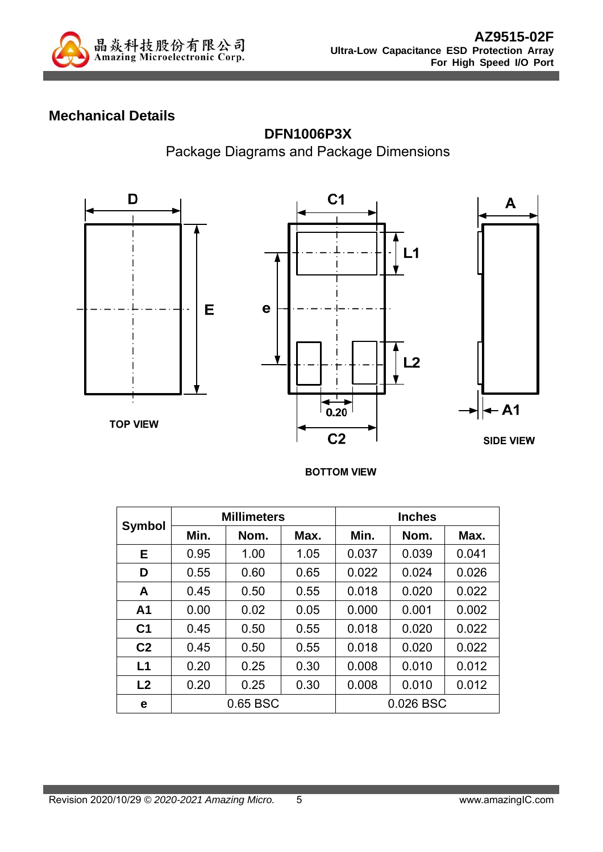

# **Mechanical Details**



#### **DFN1006P3X**

Package Diagrams and Package Dimensions

#### **BOTTOM VIEW**

|                | <b>Millimeters</b> |      |      | <b>Inches</b> |           |       |
|----------------|--------------------|------|------|---------------|-----------|-------|
| <b>Symbol</b>  | Min.               | Nom. | Max. | Min.          | Nom.      | Max.  |
| E.             | 0.95               | 1.00 | 1.05 | 0.037         | 0.039     | 0.041 |
| D              | 0.55               | 0.60 | 0.65 | 0.022         | 0.024     | 0.026 |
| A              | 0.45               | 0.50 | 0.55 | 0.018         | 0.020     | 0.022 |
| A <sub>1</sub> | 0.00               | 0.02 | 0.05 | 0.000         | 0.001     | 0.002 |
| C <sub>1</sub> | 0.45               | 0.50 | 0.55 | 0.018         | 0.020     | 0.022 |
| C <sub>2</sub> | 0.45               | 0.50 | 0.55 | 0.018         | 0.020     | 0.022 |
| L1             | 0.20               | 0.25 | 0.30 | 0.008         | 0.010     | 0.012 |
| L <sub>2</sub> | 0.20               | 0.25 | 0.30 | 0.008         | 0.010     | 0.012 |
| е              | 0.65 BSC           |      |      |               | 0.026 BSC |       |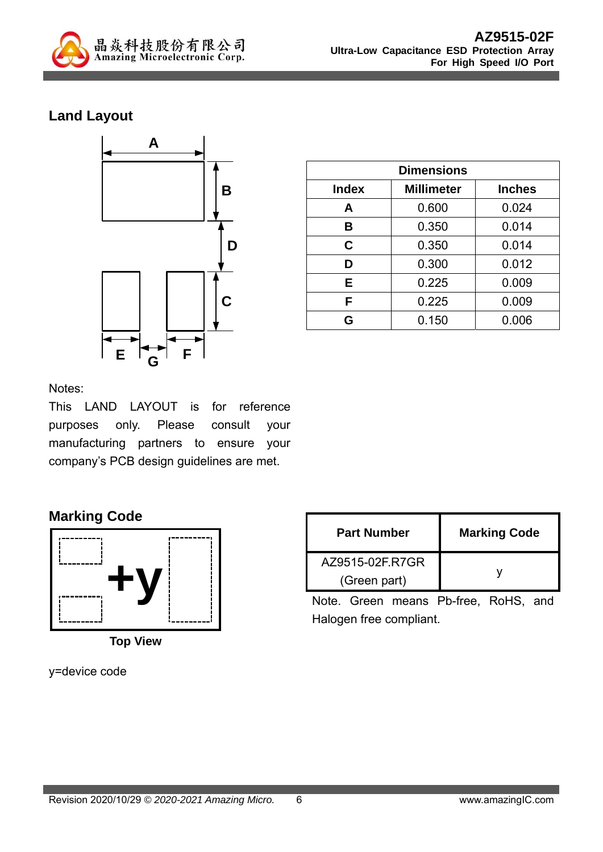

# **Land Layout**



| <b>Dimensions</b> |                   |               |  |  |
|-------------------|-------------------|---------------|--|--|
| <b>Index</b>      | <b>Millimeter</b> | <b>Inches</b> |  |  |
| A                 | 0.600             | 0.024         |  |  |
| B                 | 0.350             | 0.014         |  |  |
| C                 | 0.350             | 0.014         |  |  |
| D                 | 0.300             | 0.012         |  |  |
| Е                 | 0.225             | 0.009         |  |  |
| F                 | 0.225             | 0.009         |  |  |
| G                 | 0.150             | 0.006         |  |  |

#### Notes:

This LAND LAYOUT is for reference purposes only. Please consult your manufacturing partners to ensure your company's PCB design guidelines are met.

## **Marking Code**



**Top View** 

y=device code

| <b>Part Number</b> | <b>Marking Code</b> |  |  |
|--------------------|---------------------|--|--|
| AZ9515-02F.R7GR    |                     |  |  |
| (Green part)       |                     |  |  |

Note. Green means Pb-free, RoHS, and Halogen free compliant.